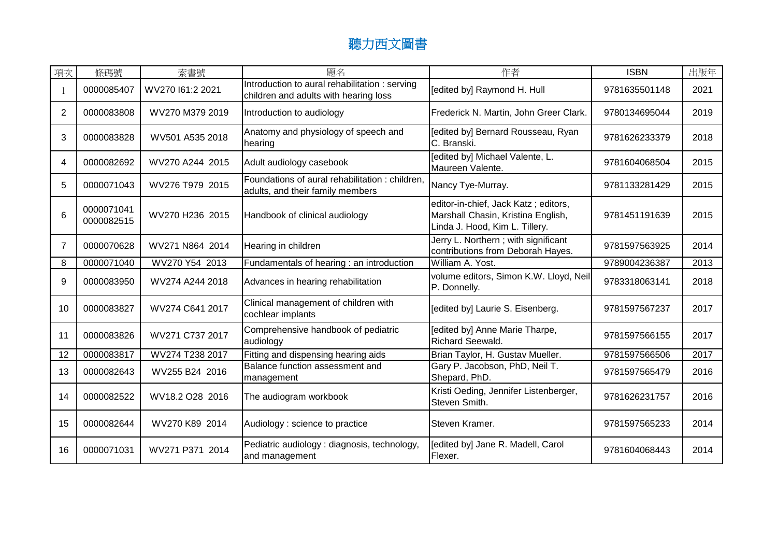## 聽力西文圖書

| 項次             | 條碼號                      | 索書號              | 題名                                                                                      | 作者                                                                                                           | <b>ISBN</b>   | 出版年  |
|----------------|--------------------------|------------------|-----------------------------------------------------------------------------------------|--------------------------------------------------------------------------------------------------------------|---------------|------|
|                | 0000085407               | WV270 161:2 2021 | Introduction to aural rehabilitation : serving<br>children and adults with hearing loss | [edited by] Raymond H. Hull                                                                                  | 9781635501148 | 2021 |
| $\overline{2}$ | 0000083808               | WV270 M379 2019  | Introduction to audiology                                                               | Frederick N. Martin, John Greer Clark.                                                                       | 9780134695044 | 2019 |
| 3              | 0000083828               | WV501 A535 2018  | Anatomy and physiology of speech and<br>hearing                                         | [edited by] Bernard Rousseau, Ryan<br>C. Branski.                                                            | 9781626233379 | 2018 |
| 4              | 0000082692               | WV270 A244 2015  | Adult audiology casebook                                                                | [edited by] Michael Valente, L.<br>Maureen Valente.                                                          | 9781604068504 | 2015 |
| 5              | 0000071043               | WV276 T979 2015  | Foundations of aural rehabilitation : children,<br>adults, and their family members     | Nancy Tye-Murray.                                                                                            | 9781133281429 | 2015 |
| 6              | 0000071041<br>0000082515 | WV270 H236 2015  | Handbook of clinical audiology                                                          | editor-in-chief, Jack Katz; editors,<br>Marshall Chasin, Kristina English,<br>Linda J. Hood, Kim L. Tillery. | 9781451191639 | 2015 |
| $\overline{7}$ | 0000070628               | WV271 N864 2014  | Hearing in children                                                                     | Jerry L. Northern; with significant<br>contributions from Deborah Hayes.                                     | 9781597563925 | 2014 |
| 8              | 0000071040               | WV270 Y54 2013   | Fundamentals of hearing : an introduction                                               | William A. Yost.                                                                                             | 9789004236387 | 2013 |
| 9              | 0000083950               | WV274 A244 2018  | Advances in hearing rehabilitation                                                      | volume editors, Simon K.W. Lloyd, Neil<br>P. Donnelly.                                                       | 9783318063141 | 2018 |
| 10             | 0000083827               | WV274 C641 2017  | Clinical management of children with<br>cochlear implants                               | [edited by] Laurie S. Eisenberg.                                                                             | 9781597567237 | 2017 |
| 11             | 0000083826               | WV271 C737 2017  | Comprehensive handbook of pediatric<br>audiology                                        | [edited by] Anne Marie Tharpe,<br>Richard Seewald.                                                           | 9781597566155 | 2017 |
| 12             | 0000083817               | WV274 T238 2017  | Fitting and dispensing hearing aids                                                     | Brian Taylor, H. Gustav Mueller.                                                                             | 9781597566506 | 2017 |
| 13             | 0000082643               | WV255 B24 2016   | Balance function assessment and<br>management                                           | Gary P. Jacobson, PhD, Neil T.<br>Shepard, PhD.                                                              | 9781597565479 | 2016 |
| 14             | 0000082522               | WV18.2 O28 2016  | The audiogram workbook                                                                  | Kristi Oeding, Jennifer Listenberger,<br>Steven Smith.                                                       | 9781626231757 | 2016 |
| 15             | 0000082644               | WV270 K89 2014   | Audiology : science to practice                                                         | Steven Kramer.                                                                                               | 9781597565233 | 2014 |
| 16             | 0000071031               | WV271 P371 2014  | Pediatric audiology : diagnosis, technology,<br>and management                          | [edited by] Jane R. Madell, Carol<br>Flexer.                                                                 | 9781604068443 | 2014 |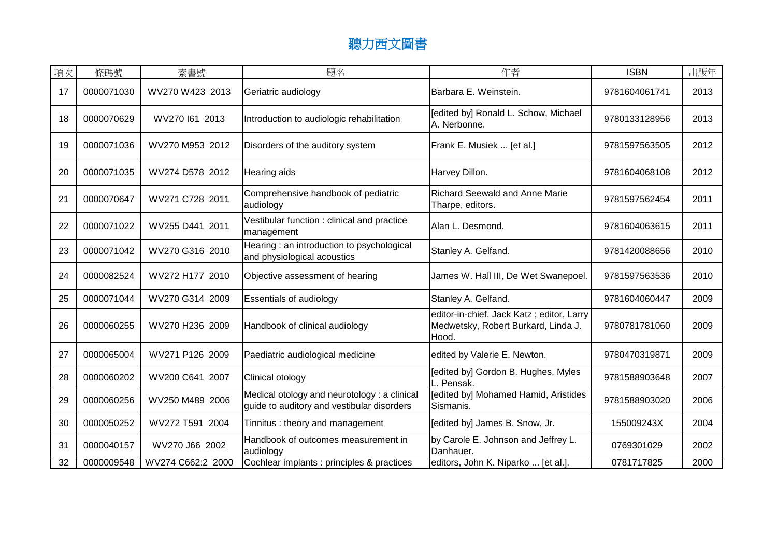## 聽力西文圖書

| 項次 | 條碼號        | 索書號               | 題名                                                                                         | 作者                                                                                        | <b>ISBN</b>   | 出版年  |
|----|------------|-------------------|--------------------------------------------------------------------------------------------|-------------------------------------------------------------------------------------------|---------------|------|
| 17 | 0000071030 | WV270 W423 2013   | Geriatric audiology                                                                        | Barbara E. Weinstein.                                                                     | 9781604061741 | 2013 |
| 18 | 0000070629 | WV270 161 2013    | Introduction to audiologic rehabilitation                                                  | [edited by] Ronald L. Schow, Michael<br>A. Nerbonne.                                      | 9780133128956 | 2013 |
| 19 | 0000071036 | WV270 M953 2012   | Disorders of the auditory system                                                           | Frank E. Musiek  [et al.]                                                                 | 9781597563505 | 2012 |
| 20 | 0000071035 | WV274 D578 2012   | <b>Hearing aids</b>                                                                        | Harvey Dillon.                                                                            | 9781604068108 | 2012 |
| 21 | 0000070647 | WV271 C728 2011   | Comprehensive handbook of pediatric<br>audiology                                           | <b>Richard Seewald and Anne Marie</b><br>Tharpe, editors.                                 | 9781597562454 | 2011 |
| 22 | 0000071022 | WV255 D441 2011   | Vestibular function: clinical and practice<br>management                                   | Alan L. Desmond.                                                                          | 9781604063615 | 2011 |
| 23 | 0000071042 | WV270 G316 2010   | Hearing: an introduction to psychological<br>and physiological acoustics                   | Stanley A. Gelfand.                                                                       | 9781420088656 | 2010 |
| 24 | 0000082524 | WV272 H177 2010   | Objective assessment of hearing                                                            | James W. Hall III, De Wet Swanepoel.                                                      | 9781597563536 | 2010 |
| 25 | 0000071044 | WV270 G314 2009   | <b>Essentials of audiology</b>                                                             | Stanley A. Gelfand.                                                                       | 9781604060447 | 2009 |
| 26 | 0000060255 | WV270 H236 2009   | Handbook of clinical audiology                                                             | editor-in-chief, Jack Katz; editor, Larry<br>Medwetsky, Robert Burkard, Linda J.<br>Hood. | 9780781781060 | 2009 |
| 27 | 0000065004 | WV271 P126 2009   | Paediatric audiological medicine                                                           | edited by Valerie E. Newton.                                                              | 9780470319871 | 2009 |
| 28 | 0000060202 | WV200 C641 2007   | Clinical otology                                                                           | [edited by] Gordon B. Hughes, Myles<br>L. Pensak.                                         | 9781588903648 | 2007 |
| 29 | 0000060256 | WV250 M489 2006   | Medical otology and neurotology : a clinical<br>guide to auditory and vestibular disorders | [edited by] Mohamed Hamid, Aristides<br>Sismanis.                                         | 9781588903020 | 2006 |
| 30 | 0000050252 | WV272 T591 2004   | Tinnitus: theory and management                                                            | [edited by] James B. Snow, Jr.                                                            | 155009243X    | 2004 |
| 31 | 0000040157 | WV270 J66 2002    | Handbook of outcomes measurement in<br>audiology                                           | by Carole E. Johnson and Jeffrey L.<br>Danhauer.                                          | 0769301029    | 2002 |
| 32 | 0000009548 | WV274 C662:2 2000 | Cochlear implants : principles & practices                                                 | editors, John K. Niparko  [et al.].                                                       | 0781717825    | 2000 |